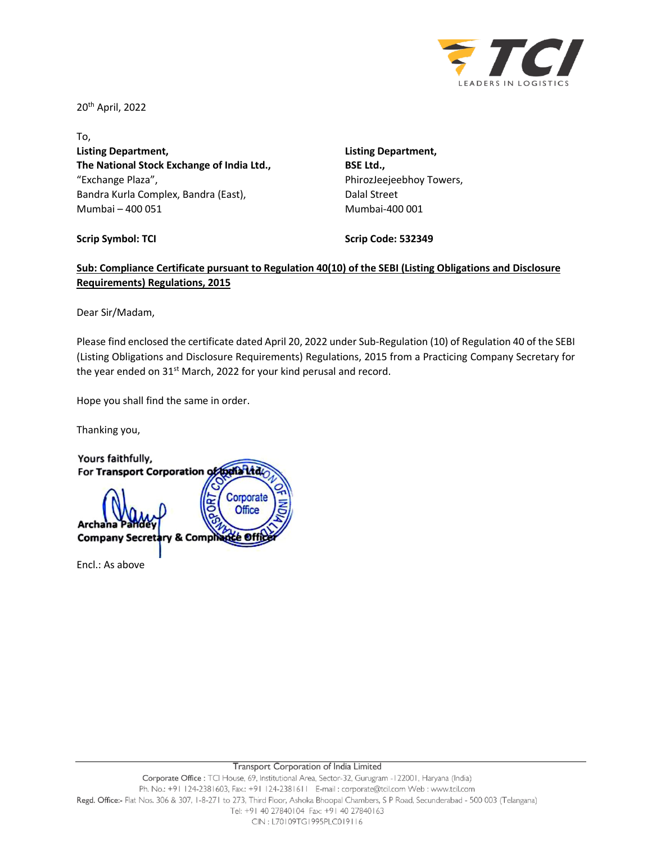

20th April, 2022

To, **Listing Department, Listing Department, The National Stock Exchange of India Ltd., BSE Ltd.,** "Exchange Plaza", PhirozJeejeebhoy Towers, Bandra Kurla Complex, Bandra (East), Dalal Street Mumbai – 400 051 Mumbai-400 001

**Scrip Symbol: TCI Scrip Code: 532349** 

## **Sub: Compliance Certificate pursuant to Regulation 40(10) of the SEBI (Listing Obligations and Disclosure Requirements) Regulations, 2015**

Dear Sir/Madam,

Please find enclosed the certificate dated April 20, 2022 under Sub‐Regulation (10) of Regulation 40 of the SEBI (Listing Obligations and Disclosure Requirements) Regulations, 2015 from a Practicing Company Secretary for the year ended on 31<sup>st</sup> March, 2022 for your kind perusal and record.

Hope you shall find the same in order.

Thanking you,

Yours faithfully, For Transport Corporation of both Ltd Corporate **Office** Archana **Company Secreta** Ze off v & Compl

Encl.: As above